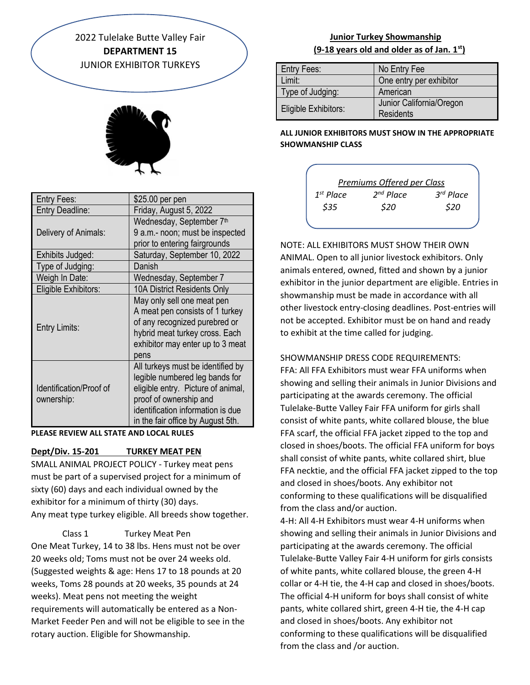2022 Tulelake Butte Valley Fair **DEPARTMENT 15** JUNIOR EXHIBITOR TURKEYS



| Entry Fees:                           | \$25.00 per pen                                                                                                                                                                                               |
|---------------------------------------|---------------------------------------------------------------------------------------------------------------------------------------------------------------------------------------------------------------|
| <b>Entry Deadline:</b>                | Friday, August 5, 2022                                                                                                                                                                                        |
|                                       | Wednesday, September 7th                                                                                                                                                                                      |
| Delivery of Animals:                  | 9 a.m.- noon; must be inspected                                                                                                                                                                               |
|                                       | prior to entering fairgrounds                                                                                                                                                                                 |
| Exhibits Judged:                      | Saturday, September 10, 2022                                                                                                                                                                                  |
| Type of Judging:                      | Danish                                                                                                                                                                                                        |
| Weigh In Date:                        | Wednesday, September 7                                                                                                                                                                                        |
| Eligible Exhibitors:                  | 10A District Residents Only                                                                                                                                                                                   |
| Entry Limits:                         | May only sell one meat pen<br>A meat pen consists of 1 turkey<br>of any recognized purebred or<br>hybrid meat turkey cross. Each<br>exhibitor may enter up to 3 meat<br>pens                                  |
| Identification/Proof of<br>ownership: | All turkeys must be identified by<br>legible numbered leg bands for<br>eligible entry. Picture of animal,<br>proof of ownership and<br>identification information is due<br>in the fair office by August 5th. |

#### **PLEASE REVIEW ALL STATE AND LOCAL RULES**

# **Dept/Div. 15-201 TURKEY MEAT PEN**

SMALL ANIMAL PROJECT POLICY - Turkey meat pens must be part of a supervised project for a minimum of sixty (60) days and each individual owned by the exhibitor for a minimum of thirty (30) days. Any meat type turkey eligible. All breeds show together.

Class 1 Turkey Meat Pen

One Meat Turkey, 14 to 38 lbs. Hens must not be over 20 weeks old; Toms must not be over 24 weeks old. (Suggested weights & age: Hens 17 to 18 pounds at 20 weeks, Toms 28 pounds at 20 weeks, 35 pounds at 24 weeks). Meat pens not meeting the weight requirements will automatically be entered as a Non-Market Feeder Pen and will not be eligible to see in the rotary auction. Eligible for Showmanship.

# **Junior Turkey Showmanship (9-18 years old and older as of Jan. 1st)**

| Entry Fees:          | No Entry Fee                                 |
|----------------------|----------------------------------------------|
| Limit:               | One entry per exhibitor                      |
| Type of Judging:     | American                                     |
| Eligible Exhibitors: | Junior California/Oregon<br><b>Residents</b> |

### **ALL JUNIOR EXHIBITORS MUST SHOW IN THE APPROPRIATE SHOWMANSHIP CLASS**



NOTE: ALL EXHIBITORS MUST SHOW THEIR OWN ANIMAL. Open to all junior livestock exhibitors. Only animals entered, owned, fitted and shown by a junior exhibitor in the junior department are eligible. Entries in showmanship must be made in accordance with all other livestock entry-closing deadlines. Post-entries will not be accepted. Exhibitor must be on hand and ready to exhibit at the time called for judging.

# SHOWMANSHIP DRESS CODE REQUIREMENTS:

FFA: All FFA Exhibitors must wear FFA uniforms when showing and selling their animals in Junior Divisions and participating at the awards ceremony. The official Tulelake-Butte Valley Fair FFA uniform for girls shall consist of white pants, white collared blouse, the blue FFA scarf, the official FFA jacket zipped to the top and closed in shoes/boots. The official FFA uniform for boys shall consist of white pants, white collared shirt, blue FFA necktie, and the official FFA jacket zipped to the top and closed in shoes/boots. Any exhibitor not conforming to these qualifications will be disqualified from the class and/or auction.

4-H: All 4-H Exhibitors must wear 4-H uniforms when showing and selling their animals in Junior Divisions and participating at the awards ceremony. The official Tulelake-Butte Valley Fair 4-H uniform for girls consists of white pants, white collared blouse, the green 4-H collar or 4-H tie, the 4-H cap and closed in shoes/boots. The official 4-H uniform for boys shall consist of white pants, white collared shirt, green 4-H tie, the 4-H cap and closed in shoes/boots. Any exhibitor not conforming to these qualifications will be disqualified from the class and /or auction.